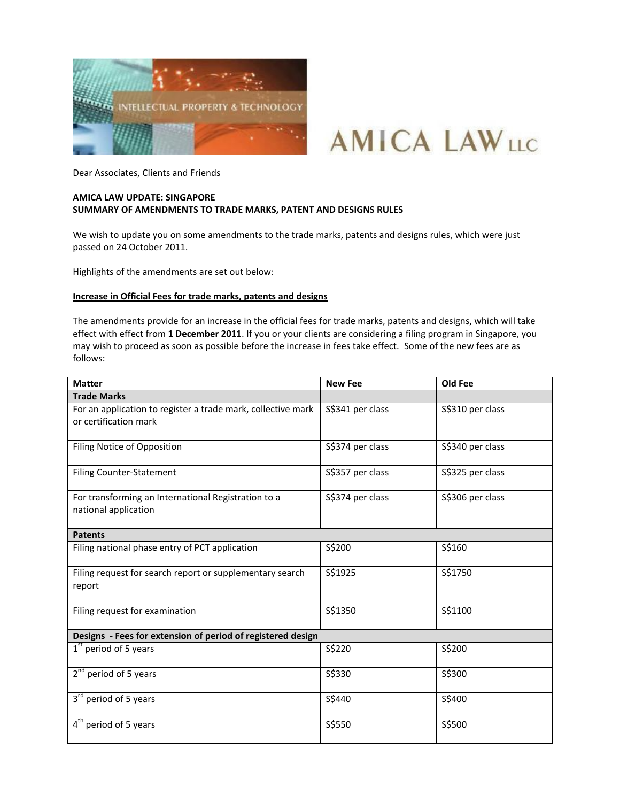



Dear Associates, Clients and Friends

# **AMICA LAW UPDATE: SINGAPORE SUMMARY OF AMENDMENTS TO TRADE MARKS, PATENT AND DESIGNS RULES**

We wish to update you on some amendments to the trade marks, patents and designs rules, which were just passed on 24 October 2011.

Highlights of the amendments are set out below:

## **Increase in Official Fees for trade marks, patents and designs**

The amendments provide for an increase in the official fees for trade marks, patents and designs, which will take effect with effect from **1 December 2011**. If you or your clients are considering a filing program in Singapore, you may wish to proceed as soon as possible before the increase in fees take effect. Some of the new fees are as follows:

| <b>Matter</b>                                                                         | <b>New Fee</b>   | Old Fee          |
|---------------------------------------------------------------------------------------|------------------|------------------|
| <b>Trade Marks</b>                                                                    |                  |                  |
| For an application to register a trade mark, collective mark<br>or certification mark | S\$341 per class | S\$310 per class |
| Filing Notice of Opposition                                                           | S\$374 per class | S\$340 per class |
| <b>Filing Counter-Statement</b>                                                       | S\$357 per class | S\$325 per class |
| For transforming an International Registration to a<br>national application           | S\$374 per class | S\$306 per class |
| <b>Patents</b>                                                                        |                  |                  |
| Filing national phase entry of PCT application                                        | S\$200           | S\$160           |
| Filing request for search report or supplementary search<br>report                    | S\$1925          | S\$1750          |
| Filing request for examination                                                        | S\$1350          | S\$1100          |
| Designs - Fees for extension of period of registered design                           |                  |                  |
| $1st$ period of 5 years                                                               | S\$220           | S\$200           |
| $2nd$ period of 5 years                                                               | S\$330           | S\$300           |
| 3 <sup>rd</sup> period of 5 years                                                     | S\$440           | S\$400           |
| 4 <sup>th</sup> period of 5 years                                                     | S\$550           | S\$500           |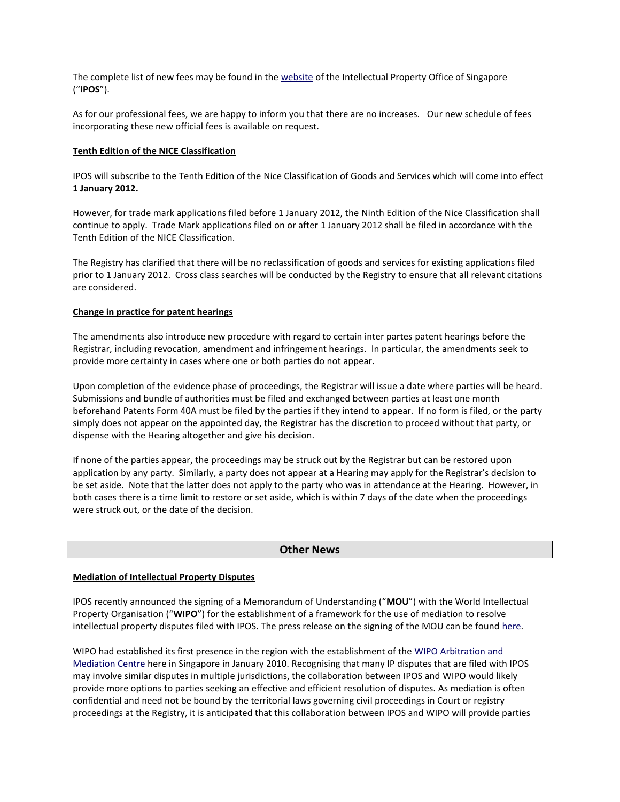The complete list of new fees may be found in th[e website](http://www.ipos.gov.sg/NR/rdonlyres/A085C1F3-3C4C-4F69-BD24-87F2DF2AF5C9/20078/NewFeesandForm1.pdf) of the Intellectual Property Office of Singapore ("**IPOS**").

As for our professional fees, we are happy to inform you that there are no increases. Our new schedule of fees incorporating these new official fees is available on request.

#### **Tenth Edition of the NICE Classification**

IPOS will subscribe to the Tenth Edition of the Nice Classification of Goods and Services which will come into effect **1 January 2012.** 

However, for trade mark applications filed before 1 January 2012, the Ninth Edition of the Nice Classification shall continue to apply. Trade Mark applications filed on or after 1 January 2012 shall be filed in accordance with the Tenth Edition of the NICE Classification.

The Registry has clarified that there will be no reclassification of goods and services for existing applications filed prior to 1 January 2012. Cross class searches will be conducted by the Registry to ensure that all relevant citations are considered.

### **Change in practice for patent hearings**

The amendments also introduce new procedure with regard to certain inter partes patent hearings before the Registrar, including revocation, amendment and infringement hearings. In particular, the amendments seek to provide more certainty in cases where one or both parties do not appear.

Upon completion of the evidence phase of proceedings, the Registrar will issue a date where parties will be heard. Submissions and bundle of authorities must be filed and exchanged between parties at least one month beforehand Patents Form 40A must be filed by the parties if they intend to appear. If no form is filed, or the party simply does not appear on the appointed day, the Registrar has the discretion to proceed without that party, or dispense with the Hearing altogether and give his decision.

If none of the parties appear, the proceedings may be struck out by the Registrar but can be restored upon application by any party. Similarly, a party does not appear at a Hearing may apply for the Registrar's decision to be set aside. Note that the latter does not apply to the party who was in attendance at the Hearing. However, in both cases there is a time limit to restore or set aside, which is within 7 days of the date when the proceedings were struck out, or the date of the decision.

### **Other News**

#### **Mediation of Intellectual Property Disputes**

IPOS recently announced the signing of a Memorandum of Understanding ("**MOU**") with the World Intellectual Property Organisation ("**WIPO**") for the establishment of a framework for the use of mediation to resolve intellectual property disputes filed with IPOS. The press release on the signing of the MOU can be found [here.](http://www.ipos.gov.sg/topNav/news/pre/The+Intellectual+Property+Office+of+Singapore+and+the+World+Intellectual+Property+Organization+Colla.htm)

WIPO had established its first presence in the region with the establishment of the WIPO Arbitration and [Mediation Centre](http://www.wipo.int/amc/en/center/singapore/) here in Singapore in January 2010. Recognising that many IP disputes that are filed with IPOS may involve similar disputes in multiple jurisdictions, the collaboration between IPOS and WIPO would likely provide more options to parties seeking an effective and efficient resolution of disputes. As mediation is often confidential and need not be bound by the territorial laws governing civil proceedings in Court or registry proceedings at the Registry, it is anticipated that this collaboration between IPOS and WIPO will provide parties